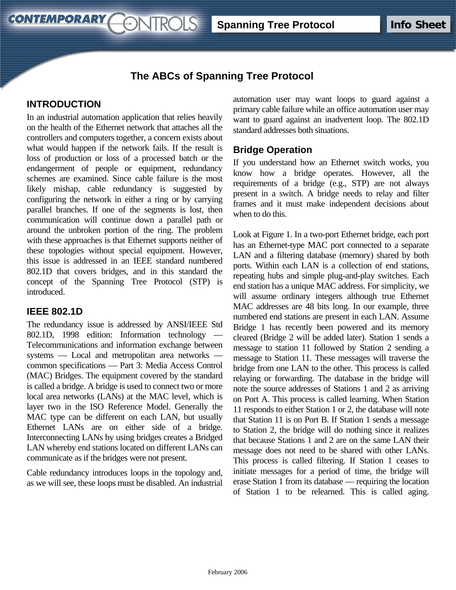# **The ABCs of Spanning Tree Protocol**

## **INTRODUCTION**

**CONTEMPORARY** 

In an industrial automation application that relies heavily on the health of the Ethernet network that attaches all the controllers and computers together, a concern exists about what would happen if the network fails. If the result is loss of production or loss of a processed batch or the endangerment of people or equipment, redundancy schemes are examined. Since cable failure is the most likely mishap, cable redundancy is suggested by configuring the network in either a ring or by carrying parallel branches. If one of the segments is lost, then communication will continue down a parallel path or around the unbroken portion of the ring. The problem with these approaches is that Ethernet supports neither of these topologies without special equipment. However, this issue is addressed in an IEEE standard numbered 802.1D that covers bridges, and in this standard the concept of the Spanning Tree Protocol (STP) is introduced.

ONTROLS

## **IEEE 802.1D**

The redundancy issue is addressed by ANSI/IEEE Std 802.1D, 1998 edition: Information technology Telecommunications and information exchange between systems — Local and metropolitan area networks common specifications — Part 3: Media Access Control (MAC) Bridges. The equipment covered by the standard is called a bridge. A bridge is used to connect two or more local area networks (LANs) at the MAC level, which is layer two in the ISO Reference Model. Generally the MAC type can be different on each LAN, but usually Ethernet LANs are on either side of a bridge. Interconnecting LANs by using bridges creates a Bridged LAN whereby end stations located on different LANs can communicate as if the bridges were not present.

Cable redundancy introduces loops in the topology and, as we will see, these loops must be disabled. An industrial automation user may want loops to guard against a primary cable failure while an office automation user may want to guard against an inadvertent loop. The 802.1D standard addresses both situations.

## **Bridge Operation**

If you understand how an Ethernet switch works, you know how a bridge operates. However, all the requirements of a bridge (e.g., STP) are not always present in a switch. A bridge needs to relay and filter frames and it must make independent decisions about when to do this.

Look at Figure 1. In a two-port Ethernet bridge, each port has an Ethernet-type MAC port connected to a separate LAN and a filtering database (memory) shared by both ports. Within each LAN is a collection of end stations, repeating hubs and simple plug-and-play switches. Each end station has a unique MAC address. For simplicity, we will assume ordinary integers although true Ethernet MAC addresses are 48 bits long. In our example, three numbered end stations are present in each LAN. Assume Bridge 1 has recently been powered and its memory cleared (Bridge 2 will be added later). Station 1 sends a message to station 11 followed by Station 2 sending a message to Station 11. These messages will traverse the bridge from one LAN to the other. This process is called relaying or forwarding. The database in the bridge will note the source addresses of Stations 1 and 2 as arriving on Port A. This process is called learning. When Station 11 responds to either Station 1 or 2, the database will note that Station 11 is on Port B. If Station 1 sends a message to Station 2, the bridge will do nothing since it realizes that because Stations 1 and 2 are on the same LAN their message does not need to be shared with other LANs. This process is called filtering. If Station 1 ceases to initiate messages for a period of time, the bridge will erase Station 1 from its database — requiring the location of Station 1 to be relearned. This is called aging.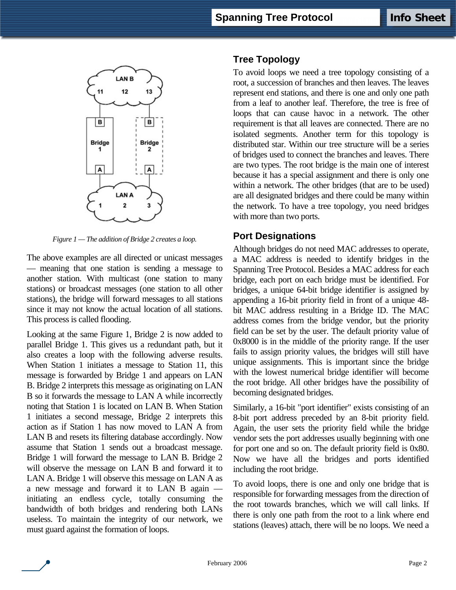

*Figure 1 — The addition of Bridge 2 creates a loop.* 

The above examples are all directed or unicast messages — meaning that one station is sending a message to another station. With multicast (one station to many stations) or broadcast messages (one station to all other stations), the bridge will forward messages to all stations since it may not know the actual location of all stations. This process is called flooding.

Looking at the same Figure 1, Bridge 2 is now added to parallel Bridge 1. This gives us a redundant path, but it also creates a loop with the following adverse results. When Station 1 initiates a message to Station 11, this message is forwarded by Bridge 1 and appears on LAN B. Bridge 2 interprets this message as originating on LAN B so it forwards the message to LAN A while incorrectly noting that Station 1 is located on LAN B. When Station 1 initiates a second message, Bridge 2 interprets this action as if Station 1 has now moved to LAN A from LAN B and resets its filtering database accordingly. Now assume that Station 1 sends out a broadcast message. Bridge 1 will forward the message to LAN B. Bridge 2 will observe the message on LAN B and forward it to LAN A. Bridge 1 will observe this message on LAN A as a new message and forward it to LAN B again initiating an endless cycle, totally consuming the bandwidth of both bridges and rendering both LANs useless. To maintain the integrity of our network, we must guard against the formation of loops.

## **Tree Topology**

To avoid loops we need a tree topology consisting of a root, a succession of branches and then leaves. The leaves represent end stations, and there is one and only one path from a leaf to another leaf. Therefore, the tree is free of loops that can cause havoc in a network. The other requirement is that all leaves are connected. There are no isolated segments. Another term for this topology is distributed star. Within our tree structure will be a series of bridges used to connect the branches and leaves. There are two types. The root bridge is the main one of interest because it has a special assignment and there is only one within a network. The other bridges (that are to be used) are all designated bridges and there could be many within the network. To have a tree topology, you need bridges with more than two ports.

### **Port Designations**

Although bridges do not need MAC addresses to operate, a MAC address is needed to identify bridges in the Spanning Tree Protocol. Besides a MAC address for each bridge, each port on each bridge must be identified. For bridges, a unique 64-bit bridge identifier is assigned by appending a 16-bit priority field in front of a unique 48 bit MAC address resulting in a Bridge ID. The MAC address comes from the bridge vendor, but the priority field can be set by the user. The default priority value of 0x8000 is in the middle of the priority range. If the user fails to assign priority values, the bridges will still have unique assignments. This is important since the bridge with the lowest numerical bridge identifier will become the root bridge. All other bridges have the possibility of becoming designated bridges.

Similarly, a 16-bit "port identifier" exists consisting of an 8-bit port address preceded by an 8-bit priority field. Again, the user sets the priority field while the bridge vendor sets the port addresses usually beginning with one for port one and so on. The default priority field is 0x80. Now we have all the bridges and ports identified including the root bridge.

To avoid loops, there is one and only one bridge that is responsible for forwarding messages from the direction of the root towards branches, which we will call links. If there is only one path from the root to a link where end stations (leaves) attach, there will be no loops. We need a

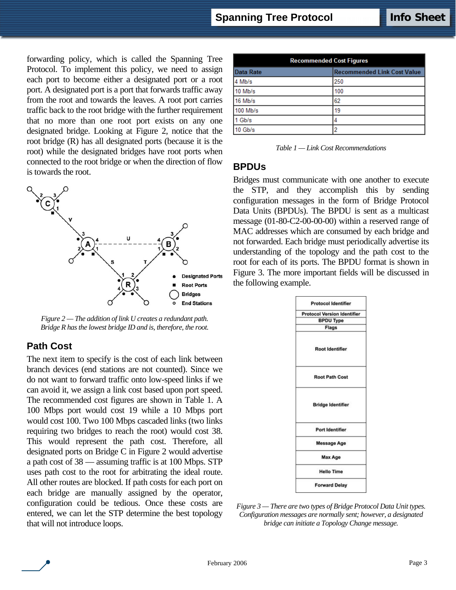forwarding policy, which is called the Spanning Tree Protocol. To implement this policy, we need to assign each port to become either a designated port or a root port. A designated port is a port that forwards traffic away from the root and towards the leaves. A root port carries traffic back to the root bridge with the further requirement that no more than one root port exists on any one designated bridge. Looking at Figure 2, notice that the root bridge (R) has all designated ports (because it is the root) while the designated bridges have root ports when connected to the root bridge or when the direction of flow is towards the root.



*Figure 2 — The addition of link U creates a redundant path. Bridge R has the lowest bridge ID and is, therefore, the root.*

## **Path Cost**

The next item to specify is the cost of each link between branch devices (end stations are not counted). Since we do not want to forward traffic onto low-speed links if we can avoid it, we assign a link cost based upon port speed. The recommended cost figures are shown in Table 1. A 100 Mbps port would cost 19 while a 10 Mbps port would cost 100. Two 100 Mbps cascaded links (two links requiring two bridges to reach the root) would cost 38. This would represent the path cost. Therefore, all designated ports on Bridge C in Figure 2 would advertise a path cost of 38 — assuming traffic is at 100 Mbps. STP uses path cost to the root for arbitrating the ideal route. All other routes are blocked. If path costs for each port on each bridge are manually assigned by the operator, configuration could be tedious. Once these costs are entered, we can let the STP determine the best topology that will not introduce loops.

| <b>Recommended Cost Figures</b> |                                    |
|---------------------------------|------------------------------------|
| Data Rate                       | <b>Recommended Link Cost Value</b> |
| 4 Mb/s                          | 250                                |
| 10 Mb/s                         | 100                                |
| 16 Mb/s                         | 62                                 |
| 100 Mb/s                        | 19                                 |
| 1 Gb/s                          | 4                                  |
| 10 Gb/s                         | 2                                  |

*Table 1 — Link Cost Recommendations*

#### **BPDUs**

Bridges must communicate with one another to execute the STP, and they accomplish this by sending configuration messages in the form of Bridge Protocol Data Units (BPDUs). The BPDU is sent as a multicast message (01-80-C2-00-00-00) within a reserved range of MAC addresses which are consumed by each bridge and not forwarded. Each bridge must periodically advertise its understanding of the topology and the path cost to the root for each of its ports. The BPDU format is shown in Figure 3. The more important fields will be discussed in the following example.

| <b>Protocol Version Identifier</b> |
|------------------------------------|
| <b>BPDU Type</b>                   |
| Flags                              |
| <b>Root Identifier</b>             |
| <b>Root Path Cost</b>              |
| <b>Bridge Identifier</b>           |
| Port Identifier                    |
| <b>Message Age</b>                 |
| Max Age                            |
| <b>Hello Time</b>                  |
|                                    |

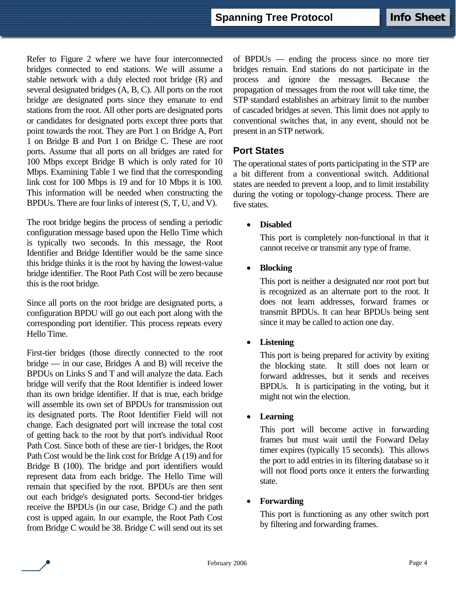Refer to Figure 2 where we have four interconnected bridges connected to end stations. We will assume a stable network with a duly elected root bridge (R) and several designated bridges (A, B, C). All ports on the root bridge are designated ports since they emanate to end stations from the root. All other ports are designated ports or candidates for designated ports except three ports that point towards the root. They are Port 1 on Bridge A, Port 1 on Bridge B and Port 1 on Bridge C. These are root ports. Assume that all ports on all bridges are rated for 100 Mbps except Bridge B which is only rated for 10 Mbps. Examining Table 1 we find that the corresponding link cost for 100 Mbps is 19 and for 10 Mbps it is 100. This information will be needed when constructing the BPDUs. There are four links of interest (S, T, U, and V).

The root bridge begins the process of sending a periodic configuration message based upon the Hello Time which is typically two seconds. In this message, the Root Identifier and Bridge Identifier would be the same since this bridge thinks it is the root by having the lowest-value bridge identifier. The Root Path Cost will be zero because this is the root bridge.

Since all ports on the root bridge are designated ports, a configuration BPDU will go out each port along with the corresponding port identifier. This process repeats every Hello Time.

First-tier bridges (those directly connected to the root bridge — in our case, Bridges A and B) will receive the BPDUs on Links S and T and will analyze the data. Each bridge will verify that the Root Identifier is indeed lower than its own bridge identifier. If that is true, each bridge will assemble its own set of BPDUs for transmission out its designated ports. The Root Identifier Field will not change. Each designated port will increase the total cost of getting back to the root by that port's individual Root Path Cost. Since both of these are tier-1 bridges, the Root Path Cost would be the link cost for Bridge A (19) and for Bridge B (100). The bridge and port identifiers would represent data from each bridge. The Hello Time will remain that specified by the root. BPDUs are then sent out each bridge's designated ports. Second-tier bridges receive the BPDUs (in our case, Bridge C) and the path cost is upped again. In our example, the Root Path Cost from Bridge C would be 38. Bridge C will send out its set of BPDUs — ending the process since no more tier bridges remain. End stations do not participate in the process and ignore the messages. Because the propagation of messages from the root will take time, the STP standard establishes an arbitrary limit to the number of cascaded bridges at seven. This limit does not apply to conventional switches that, in any event, should not be present in an STP network.

### **Port States**

The operational states of ports participating in the STP are a bit different from a conventional switch. Additional states are needed to prevent a loop, and to limit instability during the voting or topology-change process. There are five states.

#### • **Disabled**

This port is completely non-functional in that it cannot receive or transmit any type of frame.

#### • **Blocking**

This port is neither a designated nor root port but is recognized as an alternate port to the root. It does not learn addresses, forward frames or transmit BPDUs. It can hear BPDUs being sent since it may be called to action one day.

#### • **Listening**

This port is being prepared for activity by exiting the blocking state. It still does not learn or forward addresses, but it sends and receives BPDUs. It is participating in the voting, but it might not win the election.

#### • **Learning**

This port will become active in forwarding frames but must wait until the Forward Delay timer expires (typically 15 seconds). This allows the port to add entries in its filtering database so it will not flood ports once it enters the forwarding state.

#### • **Forwarding**

This port is functioning as any other switch port by filtering and forwarding frames.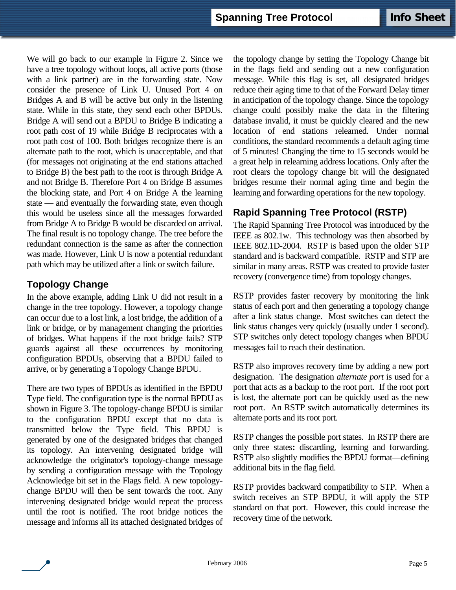We will go back to our example in Figure 2. Since we have a tree topology without loops, all active ports (those with a link partner) are in the forwarding state. Now consider the presence of Link U. Unused Port 4 on Bridges A and B will be active but only in the listening state. While in this state, they send each other BPDUs. Bridge A will send out a BPDU to Bridge B indicating a root path cost of 19 while Bridge B reciprocates with a root path cost of 100. Both bridges recognize there is an alternate path to the root, which is unacceptable, and that (for messages not originating at the end stations attached to Bridge B) the best path to the root is through Bridge A and not Bridge B. Therefore Port 4 on Bridge B assumes the blocking state, and Port 4 on Bridge A the learning state — and eventually the forwarding state, even though this would be useless since all the messages forwarded from Bridge A to Bridge B would be discarded on arrival. The final result is no topology change. The tree before the redundant connection is the same as after the connection was made. However, Link U is now a potential redundant path which may be utilized after a link or switch failure.

## **Topology Change**

In the above example, adding Link U did not result in a change in the tree topology. However, a topology change can occur due to a lost link, a lost bridge, the addition of a link or bridge, or by management changing the priorities of bridges. What happens if the root bridge fails? STP guards against all these occurrences by monitoring configuration BPDUs, observing that a BPDU failed to arrive, or by generating a Topology Change BPDU.

There are two types of BPDUs as identified in the BPDU Type field. The configuration type is the normal BPDU as shown in Figure 3. The topology-change BPDU is similar to the configuration BPDU except that no data is transmitted below the Type field. This BPDU is generated by one of the designated bridges that changed its topology. An intervening designated bridge will acknowledge the originator's topology-change message by sending a configuration message with the Topology Acknowledge bit set in the Flags field. A new topologychange BPDU will then be sent towards the root. Any intervening designated bridge would repeat the process until the root is notified. The root bridge notices the message and informs all its attached designated bridges of the topology change by setting the Topology Change bit in the flags field and sending out a new configuration message. While this flag is set, all designated bridges reduce their aging time to that of the Forward Delay timer in anticipation of the topology change. Since the topology change could possibly make the data in the filtering database invalid, it must be quickly cleared and the new location of end stations relearned. Under normal conditions, the standard recommends a default aging time of 5 minutes! Changing the time to 15 seconds would be a great help in relearning address locations. Only after the root clears the topology change bit will the designated bridges resume their normal aging time and begin the learning and forwarding operations for the new topology.

# **Rapid Spanning Tree Protocol (RSTP)**

The Rapid Spanning Tree Protocol was introduced by the IEEE as 802.1w. This technology was then absorbed by IEEE 802.1D-2004. RSTP is based upon the older STP standard and is backward compatible. RSTP and STP are similar in many areas. RSTP was created to provide faster recovery (convergence time) from topology changes.

RSTP provides faster recovery by monitoring the link status of each port and then generating a topology change after a link status change. Most switches can detect the link status changes very quickly (usually under 1 second). STP switches only detect topology changes when BPDU messages fail to reach their destination.

RSTP also improves recovery time by adding a new port designation. The designation *alternate port* is used for a port that acts as a backup to the root port. If the root port is lost, the alternate port can be quickly used as the new root port. An RSTP switch automatically determines its alternate ports and its root port.

RSTP changes the possible port states. In RSTP there are only three states**:** discarding, learning and forwarding. RSTP also slightly modifies the BPDU format—defining additional bits in the flag field.

RSTP provides backward compatibility to STP. When a switch receives an STP BPDU, it will apply the STP standard on that port. However, this could increase the recovery time of the network.